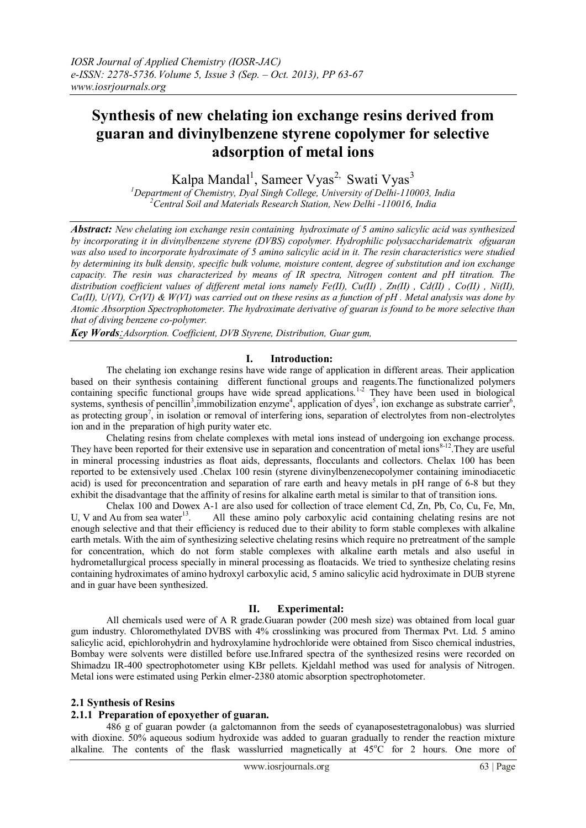# **Synthesis of new chelating ion exchange resins derived from guaran and divinylbenzene styrene copolymer for selective adsorption of metal ions**

Kalpa Mandal<sup>1</sup>, Sameer Vyas<sup>2,</sup> Swati Vyas<sup>3</sup>

*<sup>1</sup>Department of Chemistry, Dyal Singh College, University of Delhi-110003, India <sup>2</sup>Central Soil and Materials Research Station, New Delhi -110016, India*

*Abstract: New chelating ion exchange resin containing hydroximate of 5 amino salicylic acid was synthesized by incorporating it in divinylbenzene styrene (DVBS) copolymer. Hydrophilic polysaccharidematrix ofguaran was also used to incorporate hydroximate of 5 amino salicylic acid in it. The resin characteristics were studied by determining its bulk density, specific bulk volume, moisture content, degree of substitution and ion exchange capacity. The resin was characterized by means of IR spectra, Nitrogen content and pH titration. The distribution coefficient values of different metal ions namely Fe(II), Cu(II) , Zn(II) , Cd(II) , Co(II) , Ni(II), Ca(II), U(VI), Cr(VI) & W(VI) was carried out on these resins as a function of pH . Metal analysis was done by Atomic Absorption Spectrophotometer. The hydroximate derivative of guaran is found to be more selective than that of diving benzene co-polymer.*

*Key Words:Adsorption. Coefficient, DVB Styrene, Distribution, Guar gum,* 

### **I. Introduction:**

The chelating ion exchange resins have wide range of application in different areas. Their application based on their synthesis containing different functional groups and reagents.The functionalized polymers containing specific functional groups have wide spread applications.<sup>1-2</sup> They have been used in biological systems, synthesis of pencillin<sup>3</sup>, immobilization enzyme<sup>4</sup>, application of dyes<sup>5</sup>, ion exchange as substrate carrier<sup>6</sup>, as protecting group<sup>7</sup>, in isolation or removal of interfering ions, separation of electrolytes from non-electrolytes ion and in the preparation of high purity water etc.

Chelating resins from chelate complexes with metal ions instead of undergoing ion exchange process. They have been reported for their extensive use in separation and concentration of metal ions $8-12$ . They are useful in mineral processing industries as float aids, depressants, flocculants and collectors. Chelax 100 has been reported to be extensively used .Chelax 100 resin (styrene divinylbenzenecopolymer containing iminodiacetic acid) is used for preconcentration and separation of rare earth and heavy metals in pH range of 6-8 but they exhibit the disadvantage that the affinity of resins for alkaline earth metal is similar to that of transition ions.

Chelax 100 and Dowex A-1 are also used for collection of trace element Cd, Zn, Pb, Co, Cu, Fe, Mn, U, V and Au from sea water $^{13}$ . . All these amino poly carboxylic acid containing chelating resins are not enough selective and that their efficiency is reduced due to their ability to form stable complexes with alkaline earth metals. With the aim of synthesizing selective chelating resins which require no pretreatment of the sample for concentration, which do not form stable complexes with alkaline earth metals and also useful in hydrometallurgical process specially in mineral processing as floatacids. We tried to synthesize chelating resins containing hydroximates of amino hydroxyl carboxylic acid, 5 amino salicylic acid hydroximate in DUB styrene and in guar have been synthesized.

## **II. Experimental:**

All chemicals used were of A R grade.Guaran powder (200 mesh size) was obtained from local guar gum industry. Chloromethylated DVBS with 4% crosslinking was procured from Thermax Pvt. Ltd. 5 amino salicylic acid, epichlorohydrin and hydroxylamine hydrochloride were obtained from Sisco chemical industries, Bombay were solvents were distilled before use.Infrared spectra of the synthesized resins were recorded on Shimadzu IR-400 spectrophotometer using KBr pellets. Kjeldahl method was used for analysis of Nitrogen. Metal ions were estimated using Perkin elmer-2380 atomic absorption spectrophotometer.

## **2.1 Synthesis of Resins**

## **2.1.1 Preparation of epoxyether of guaran.**

486 g of guaran powder (a galctomannon from the seeds of cyanaposestetragonalobus) was slurried with dioxine. 50% aqueous sodium hydroxide was added to guaran gradually to render the reaction mixture alkaline. The contents of the flask wasslurried magnetically at  $45^{\circ}$ C for 2 hours. One more of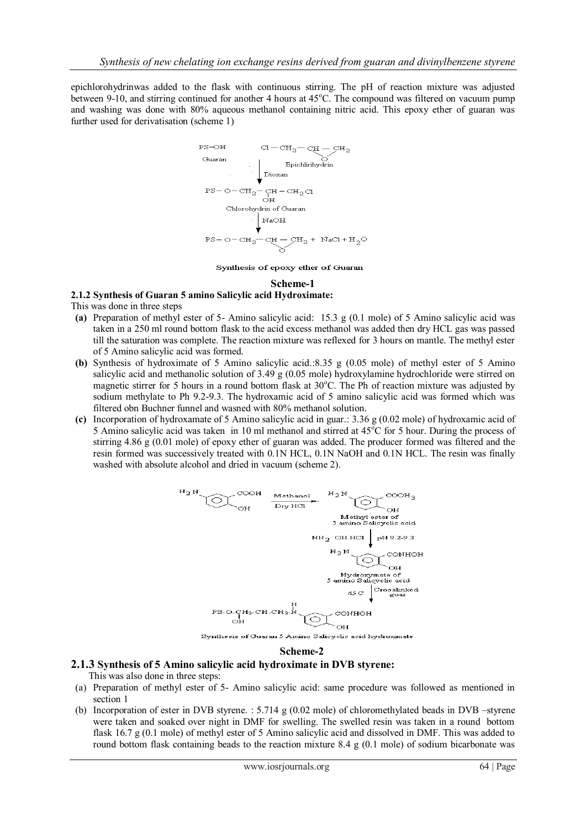epichlorohydrinwas added to the flask with continuous stirring. The pH of reaction mixture was adjusted between 9-10, and stirring continued for another 4 hours at 45<sup>o</sup>C. The compound was filtered on vacuum pump and washing was done with 80% aqueous methanol containing nitric acid. This epoxy ether of guaran was further used for derivatisation (scheme 1)



Synthesis of epoxy ether of Guaran

**Scheme-1**

## **2.1.2 Synthesis of Guaran 5 amino Salicylic acid Hydroximate:**

This was done in three steps

- **(a)** Preparation of methyl ester of 5- Amino salicylic acid: 15.3 g (0.1 mole) of 5 Amino salicylic acid was taken in a 250 ml round bottom flask to the acid excess methanol was added then dry HCL gas was passed till the saturation was complete. The reaction mixture was reflexed for 3 hours on mantle. The methyl ester of 5 Amino salicylic acid was formed.
- **(b)** Synthesis of hydroximate of 5 Amino salicylic acid.:8.35 g (0.05 mole) of methyl ester of 5 Amino salicylic acid and methanolic solution of 3.49 g (0.05 mole) hydroxylamine hydrochloride were stirred on magnetic stirrer for 5 hours in a round bottom flask at  $30^{\circ}$ C. The Ph of reaction mixture was adjusted by sodium methylate to Ph 9.2-9.3. The hydroxamic acid of 5 amino salicylic acid was formed which was filtered obn Buchner funnel and wasned with 80% methanol solution.
- **(c)** Incorporation of hydroxamate of 5 Amino salicylic acid in guar.: 3.36 g (0.02 mole) of hydroxamic acid of 5 Amino salicylic acid was taken in 10 ml methanol and stirred at 45°C for 5 hour. During the process of stirring 4.86 g (0.01 mole) of epoxy ether of guaran was added. The producer formed was filtered and the resin formed was successively treated with 0.1N HCL, 0.1N NaOH and 0.1N HCL. The resin was finally washed with absolute alcohol and dried in vacuum (scheme 2).



#### **Scheme-2**

## **2.1.3 Synthesis of 5 Amino salicylic acid hydroximate in DVB styrene:**

This was also done in three steps:

- (a) Preparation of methyl ester of 5- Amino salicylic acid: same procedure was followed as mentioned in section 1
- (b) Incorporation of ester in DVB styrene. : 5.714 g (0.02 mole) of chloromethylated beads in DVB –styrene were taken and soaked over night in DMF for swelling. The swelled resin was taken in a round bottom flask 16.7 g (0.1 mole) of methyl ester of 5 Amino salicylic acid and dissolved in DMF. This was added to round bottom flask containing beads to the reaction mixture 8.4 g  $(0.1 \text{ mole})$  of sodium bicarbonate was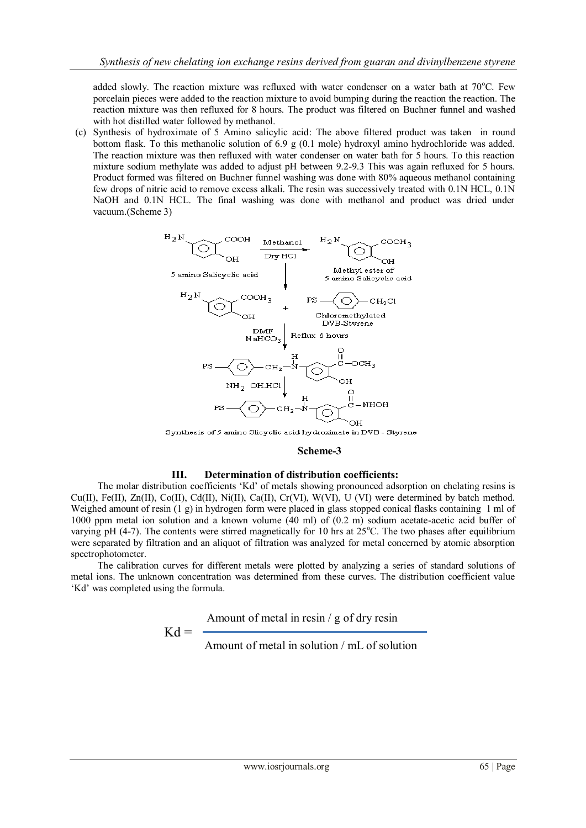added slowly. The reaction mixture was refluxed with water condenser on a water bath at  $70^{\circ}$ C. Few porcelain pieces were added to the reaction mixture to avoid bumping during the reaction the reaction. The reaction mixture was then refluxed for 8 hours. The product was filtered on Buchner funnel and washed with hot distilled water followed by methanol.

(c) Synthesis of hydroximate of 5 Amino salicylic acid: The above filtered product was taken in round bottom flask. To this methanolic solution of 6.9 g (0.1 mole) hydroxyl amino hydrochloride was added. The reaction mixture was then refluxed with water condenser on water bath for 5 hours. To this reaction mixture sodium methylate was added to adjust pH between 9.2-9.3 This was again refluxed for 5 hours. Product formed was filtered on Buchner funnel washing was done with 80% aqueous methanol containing few drops of nitric acid to remove excess alkali. The resin was successively treated with 0.1N HCL, 0.1N NaOH and 0.1N HCL. The final washing was done with methanol and product was dried under vacuum.(Scheme 3)



Synthesis of 5 amino Slicyclic acid hydroximate in DVB - Styrene

#### **Scheme-3**

#### **III. Determination of distribution coefficients:**

The molar distribution coefficients 'Kd' of metals showing pronounced adsorption on chelating resins is Cu(II), Fe(II), Zn(II), Co(II), Cd(II), Ni(II), Ca(II), Cr(VI), W(VI), U (VI) were determined by batch method. Weighed amount of resin (1 g) in hydrogen form were placed in glass stopped conical flasks containing 1 ml of 1000 ppm metal ion solution and a known volume (40 ml) of (0.2 m) sodium acetate-acetic acid buffer of varying pH (4-7). The contents were stirred magnetically for 10 hrs at  $25^{\circ}$ C. The two phases after equilibrium were separated by filtration and an aliquot of filtration was analyzed for metal concerned by atomic absorption spectrophotometer.

The calibration curves for different metals were plotted by analyzing a series of standard solutions of metal ions. The unknown concentration was determined from these curves. The distribution coefficient value 'Kd' was completed using the formula.

> $Kd = -$ Amount of metal in resin / g of dry resin

> > Amount of metal in solution / mL of solution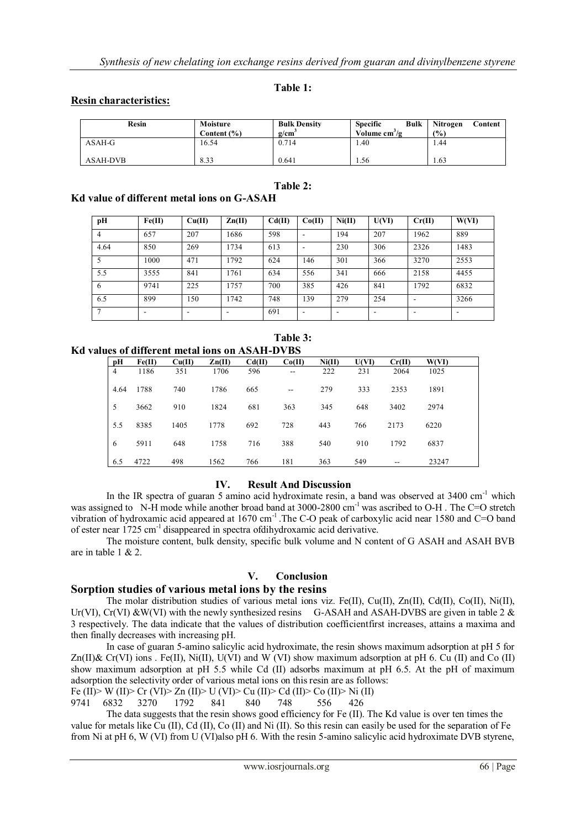## **Table 1:**

## **Resin characteristics:**

| Resin    | Moisture<br>Content (%) | <b>Bulk Density</b><br>g/cm | <b>Bulk</b><br><b>Specific</b><br>Volume $cm^3/g$ | Nitrogen<br>Content<br>(%) |
|----------|-------------------------|-----------------------------|---------------------------------------------------|----------------------------|
| ASAH-G   | 16.54                   | 0.714                       | . 40                                              | . 44                       |
| ASAH-DVB | 8.33                    | 0.641                       | . . 56                                            | 1.63                       |

#### **Table 2:**

# **Kd value of different metal ions on G-ASAH**

| pH   | Fe(II) | Cu(II) | $\mathbf{Zn}(\mathbf{II})$ | Cd(II) | Co(II) | Ni(II) | U(VI)                    | Cr(II) | W(VI) |
|------|--------|--------|----------------------------|--------|--------|--------|--------------------------|--------|-------|
|      | 657    | 207    | 1686                       | 598    |        | 194    | 207                      | 1962   | 889   |
| 4.64 | 850    | 269    | 1734                       | 613    | ۰      | 230    | 306                      | 2326   | 1483  |
|      | 1000   | 471    | 1792                       | 624    | 146    | 301    | 366                      | 3270   | 2553  |
| 5.5  | 3555   | 841    | 1761                       | 634    | 556    | 341    | 666                      | 2158   | 4455  |
| 6    | 9741   | 225    | 1757                       | 700    | 385    | 426    | 841                      | 1792   | 6832  |
| 6.5  | 899    | 150    | 1742                       | 748    | 139    | 279    | 254                      |        | 3266  |
|      |        | ٠      |                            | 691    | ۰      | ۰      | $\overline{\phantom{a}}$ |        |       |

**Table 3:**

**Kd values of different metal ions on ASAH-DVBS**

| pH             | Fe(II) | Cu(II) | $\mathbf{Zn}(\mathbf{II})$ | Cd(II) | Co(II)                   | Ni(II) | U(VI) | Cr(II) | W(VI) |
|----------------|--------|--------|----------------------------|--------|--------------------------|--------|-------|--------|-------|
| $\overline{4}$ | 1186   | 351    | 1706                       | 596    | $\overline{\phantom{a}}$ | 222    | 231   | 2064   | 1025  |
| 4.64           | 1788   | 740    | 1786                       | 665    | $-$                      | 279    | 333   | 2353   | 1891  |
| 5              | 3662   | 910    | 1824                       | 681    | 363                      | 345    | 648   | 3402   | 2974  |
| 5.5            | 8385   | 1405   | 1778                       | 692    | 728                      | 443    | 766   | 2173   | 6220  |
| 6              | 5911   | 648    | 1758                       | 716    | 388                      | 540    | 910   | 1792   | 6837  |
| 6.5            | 4722   | 498    | 1562                       | 766    | 181                      | 363    | 549   | $- -$  | 23247 |

## **IV. Result And Discussion**

In the IR spectra of guaran 5 amino acid hydroximate resin, a band was observed at  $3400 \text{ cm}^{-1}$  which was assigned to N-H mode while another broad band at 3000-2800 cm<sup>-1</sup> was ascribed to O-H. The C=O stretch vibration of hydroxamic acid appeared at 1670 cm<sup>-1</sup>. The C-O peak of carboxylic acid near 1580 and C=O band of ester near 1725 cm-1 disappeared in spectra ofdihydroxamic acid derivative.

The moisture content, bulk density, specific bulk volume and N content of G ASAH and ASAH BVB are in table 1 & 2.

## **V. Conclusion**

# **Sorption studies of various metal ions by the resins**

The molar distribution studies of various metal ions viz. Fe(II), Cu(II), Zn(II), Cd(II), Co(II), Ni(II), Ur(VI), Cr(VI) &W(VI) with the newly synthesized resins G-ASAH and ASAH-DVBS are given in table 2  $\&$ 3 respectively. The data indicate that the values of distribution coefficientfirst increases, attains a maxima and then finally decreases with increasing pH.

In case of guaran 5-amino salicylic acid hydroximate, the resin shows maximum adsorption at pH 5 for Zn(II)& Cr(VI) ions . Fe(II), Ni(II), U(VI) and W (VI) show maximum adsorption at pH 6. Cu (II) and Co (II) show maximum adsorption at pH 5.5 while Cd (II) adsorbs maximum at pH 6.5. At the pH of maximum adsorption the selectivity order of various metal ions on this resin are as follows:

Fe (II)> W (II)> Cr (VI)> Zn (II)> U (VI)> Cu (II)> Cd (II)> Co (II)> Ni (II)

9741 6832 3270 1792 841 840 748 556 426 The data suggests that the resin shows good efficiency for Fe (II). The Kd value is over ten times the value for metals like Cu (II), Cd (II), Co (II) and Ni (II). So this resin can easily be used for the separation of Fe

from Ni at pH 6, W (VI) from U (VI)also pH 6. With the resin 5-amino salicylic acid hydroximate DVB styrene,